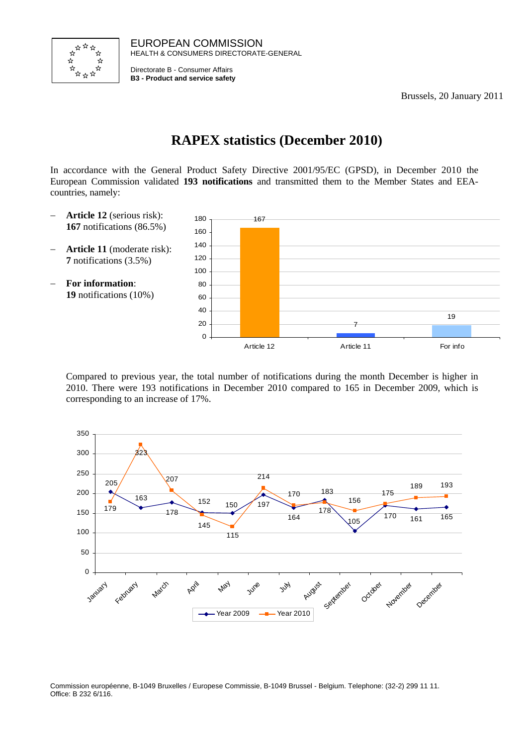

EUROPEAN COMMISSION HEALTH & CONSUMERS DIRECTORATE-GENERAL

Directorate B - Consumer Affairs **B3 - Product and service safety**

Brussels, 20 January 2011

# **RAPEX statistics (December 2010)**

In accordance with the General Product Safety Directive 2001/95/EC (GPSD), in December 2010 the European Commission validated **193 notifications** and transmitted them to the Member States and EEAcountries, namely:

- − **Article 12** (serious risk): **167** notifications (86.5%)
- − **Article 11** (moderate risk): **7** notifications (3.5%)
- − **For information**: **19** notifications (10%)



Compared to previous year, the total number of notifications during the month December is higher in 2010. There were 193 notifications in December 2010 compared to 165 in December 2009, which is corresponding to an increase of 17%.



Commission européenne, B-1049 Bruxelles / Europese Commissie, B-1049 Brussel - Belgium. Telephone: (32-2) 299 11 11. Office: B 232 6/116.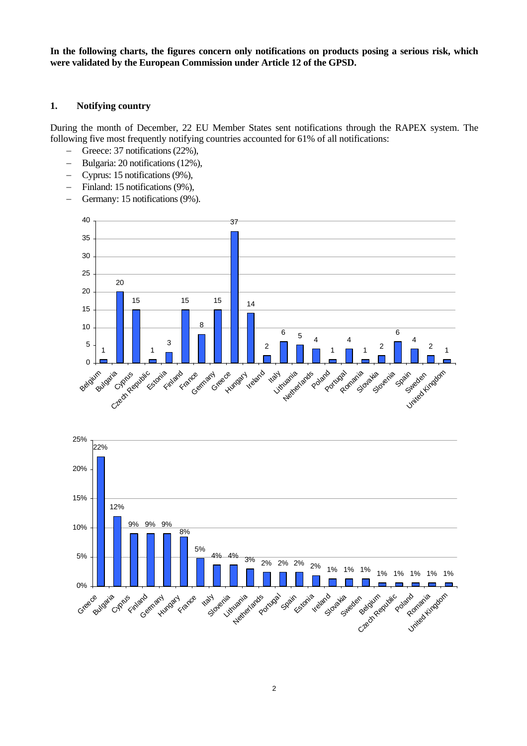**In the following charts, the figures concern only notifications on products posing a serious risk, which were validated by the European Commission under Article 12 of the GPSD.** 

#### **1. Notifying country**

During the month of December, 22 EU Member States sent notifications through the RAPEX system. The following five most frequently notifying countries accounted for 61% of all notifications:

- − Greece: 37 notifications (22%),
- − Bulgaria: 20 notifications (12%),
- − Cyprus: 15 notifications (9%),
- − Finland: 15 notifications (9%),
- − Germany: 15 notifications (9%).



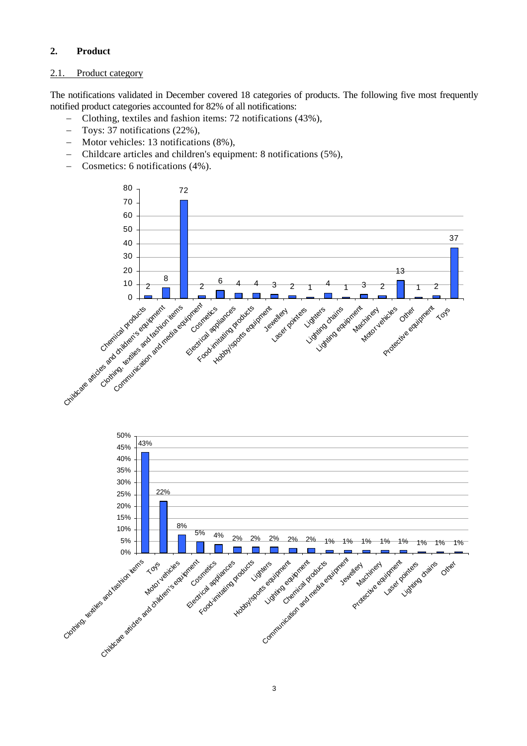## **2. Product**

### 2.1. Product category

The notifications validated in December covered 18 categories of products. The following five most frequently notified product categories accounted for 82% of all notifications:

- − Clothing, textiles and fashion items: 72 notifications (43%),
- − Toys: 37 notifications (22%),
- − Motor vehicles: 13 notifications (8%),
- − Childcare articles and children's equipment: 8 notifications (5%),
- − Cosmetics: 6 notifications (4%).



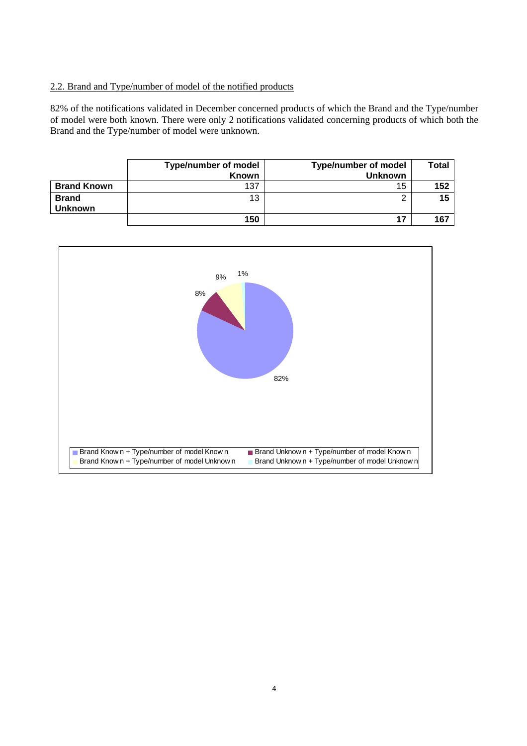## 2.2. Brand and Type/number of model of the notified products

82% of the notifications validated in December concerned products of which the Brand and the Type/number of model were both known. There were only 2 notifications validated concerning products of which both the Brand and the Type/number of model were unknown.

|                                | <b>Type/number of model</b><br><b>Known</b> | <b>Type/number of model</b><br><b>Unknown</b> | Total |
|--------------------------------|---------------------------------------------|-----------------------------------------------|-------|
| <b>Brand Known</b>             | 137                                         | 15                                            | 152   |
| <b>Brand</b><br><b>Unknown</b> | 13                                          |                                               | 15    |
|                                | 150                                         |                                               | 167   |

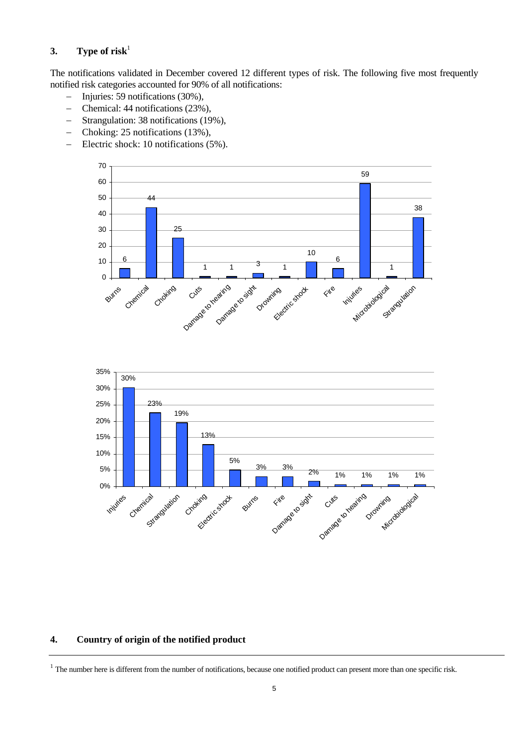## **3.** Type of risk<sup>1</sup>

The notifications validated in December covered 12 different types of risk. The following five most frequently notified risk categories accounted for 90% of all notifications:

- − Injuries: 59 notifications (30%),
- − Chemical: 44 notifications (23%),
- − Strangulation: 38 notifications (19%),
- − Choking: 25 notifications (13%),
- − Electric shock: 10 notifications (5%).





#### **4. Country of origin of the notified product**

 $1$  The number here is different from the number of notifications, because one notified product can present more than one specific risk.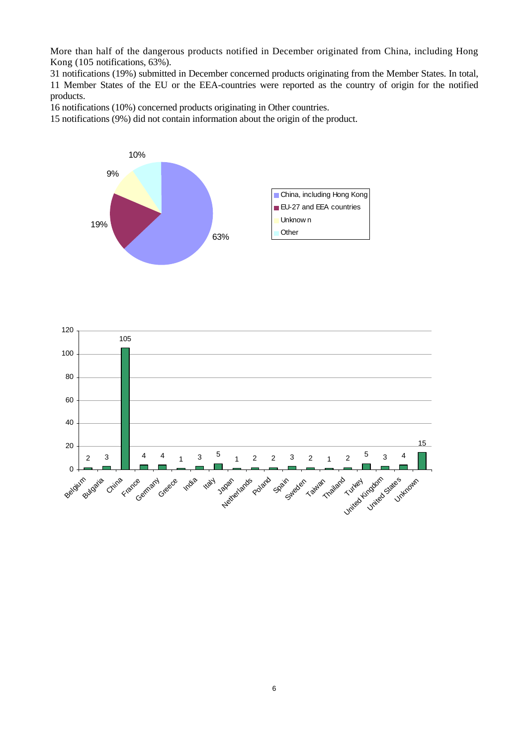More than half of the dangerous products notified in December originated from China, including Hong Kong (105 notifications, 63%).

31 notifications (19%) submitted in December concerned products originating from the Member States. In total, 11 Member States of the EU or the EEA-countries were reported as the country of origin for the notified products.

16 notifications (10%) concerned products originating in Other countries.

15 notifications (9%) did not contain information about the origin of the product.



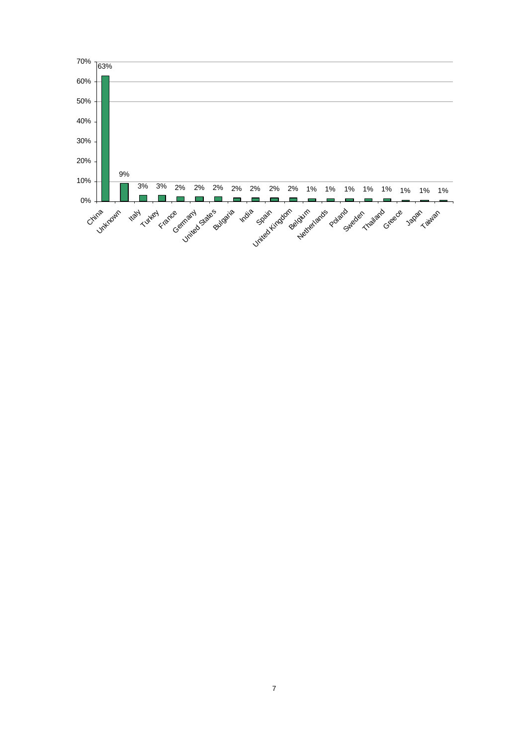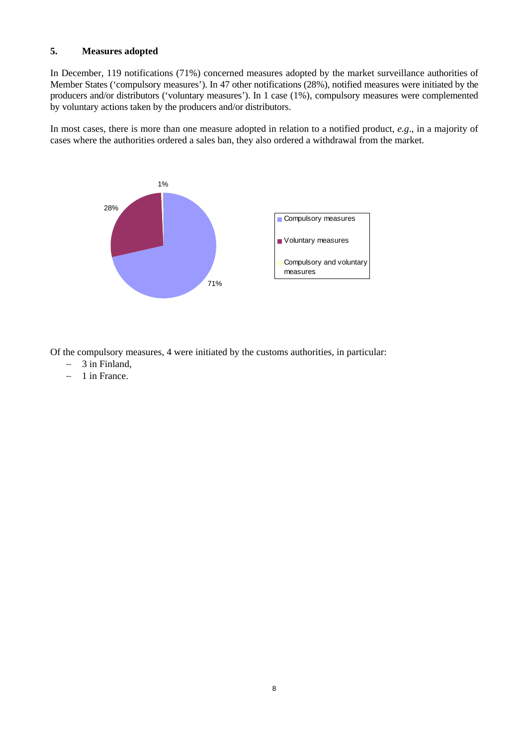#### **5. Measures adopted**

In December, 119 notifications (71%) concerned measures adopted by the market surveillance authorities of Member States ('compulsory measures'). In 47 other notifications (28%), notified measures were initiated by the producers and/or distributors ('voluntary measures'). In 1 case (1%), compulsory measures were complemented by voluntary actions taken by the producers and/or distributors.

In most cases, there is more than one measure adopted in relation to a notified product, *e.g*., in a majority of cases where the authorities ordered a sales ban, they also ordered a withdrawal from the market.



Of the compulsory measures, 4 were initiated by the customs authorities, in particular:

- − 3 in Finland,
- − 1 in France.